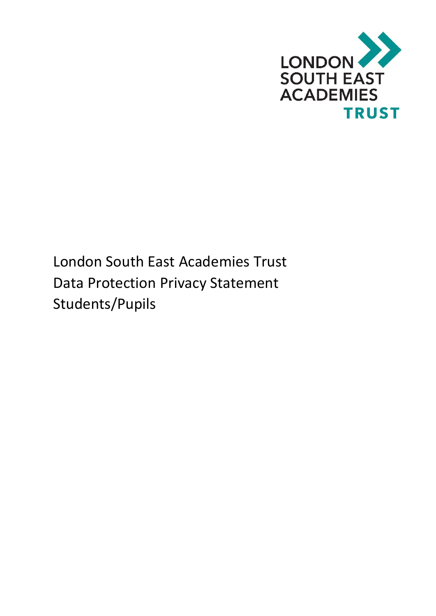

London South East Academies Trust Data Protection Privacy Statement Students/Pupils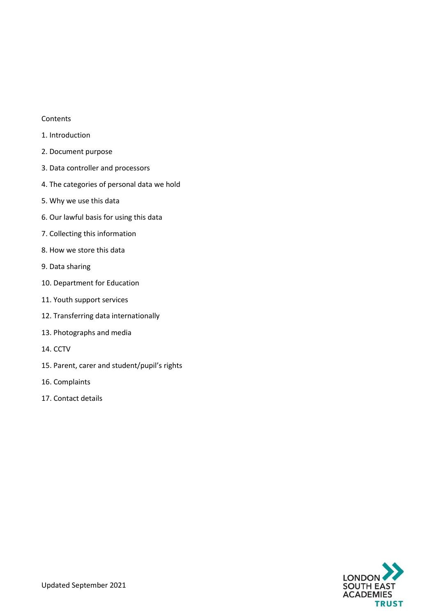#### Contents

- 1. Introduction
- 2. Document purpose
- 3. Data controller and processors
- 4. The categories of personal data we hold
- 5. Why we use this data
- 6. Our lawful basis for using this data
- 7. Collecting this information
- 8. How we store this data
- 9. Data sharing
- 10. Department for Education
- 11. Youth support services
- 12. Transferring data internationally
- 13. Photographs and media
- 14. CCTV
- 15. Parent, carer and student/pupil's rights
- 16. Complaints
- 17. Contact details

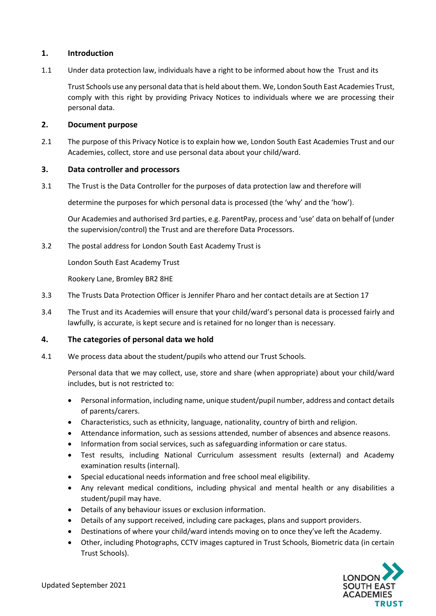# **1. Introduction**

1.1 Under data protection law, individuals have a right to be informed about how the Trust and its

Trust Schools use any personal data that is held about them. We, London South East Academies Trust, comply with this right by providing Privacy Notices to individuals where we are processing their personal data.

### **2. Document purpose**

2.1 The purpose of this Privacy Notice is to explain how we, London South East Academies Trust and our Academies, collect, store and use personal data about your child/ward.

## **3. Data controller and processors**

3.1 The Trust is the Data Controller for the purposes of data protection law and therefore will

determine the purposes for which personal data is processed (the 'why' and the 'how').

Our Academies and authorised 3rd parties, e.g. ParentPay, process and 'use' data on behalf of (under the supervision/control) the Trust and are therefore Data Processors.

3.2 The postal address for London South East Academy Trust is

London South East Academy Trust

Rookery Lane, Bromley BR2 8HE

- 3.3 The Trusts Data Protection Officer is Jennifer Pharo and her contact details are at Section 17
- 3.4 The Trust and its Academies will ensure that your child/ward's personal data is processed fairly and lawfully, is accurate, is kept secure and is retained for no longer than is necessary.

# **4. The categories of personal data we hold**

4.1 We process data about the student/pupils who attend our Trust Schools.

Personal data that we may collect, use, store and share (when appropriate) about your child/ward includes, but is not restricted to:

- Personal information, including name, unique student/pupil number, address and contact details of parents/carers.
- Characteristics, such as ethnicity, language, nationality, country of birth and religion.
- Attendance information, such as sessions attended, number of absences and absence reasons.
- Information from social services, such as safeguarding information or care status.
- Test results, including National Curriculum assessment results (external) and Academy examination results (internal).
- Special educational needs information and free school meal eligibility.
- Any relevant medical conditions, including physical and mental health or any disabilities a student/pupil may have.
- Details of any behaviour issues or exclusion information.
- Details of any support received, including care packages, plans and support providers.
- Destinations of where your child/ward intends moving on to once they've left the Academy.
- Other, including Photographs, CCTV images captured in Trust Schools, Biometric data (in certain Trust Schools).

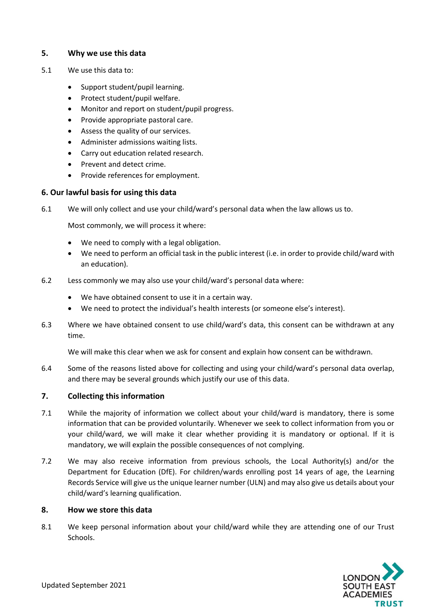# **5. Why we use this data**

- 5.1 We use this data to:
	- Support student/pupil learning.
	- Protect student/pupil welfare.
	- Monitor and report on student/pupil progress.
	- Provide appropriate pastoral care.
	- Assess the quality of our services.
	- Administer admissions waiting lists.
	- Carry out education related research.
	- Prevent and detect crime.
	- Provide references for employment.

### **6. Our lawful basis for using this data**

6.1 We will only collect and use your child/ward's personal data when the law allows us to.

Most commonly, we will process it where:

- We need to comply with a legal obligation.
- We need to perform an official task in the public interest (i.e. in order to provide child/ward with an education).
- 6.2 Less commonly we may also use your child/ward's personal data where:
	- We have obtained consent to use it in a certain way.
	- We need to protect the individual's health interests (or someone else's interest).
- 6.3 Where we have obtained consent to use child/ward's data, this consent can be withdrawn at any time.

We will make this clear when we ask for consent and explain how consent can be withdrawn.

6.4 Some of the reasons listed above for collecting and using your child/ward's personal data overlap, and there may be several grounds which justify our use of this data.

# **7. Collecting this information**

- 7.1 While the majority of information we collect about your child/ward is mandatory, there is some information that can be provided voluntarily. Whenever we seek to collect information from you or your child/ward, we will make it clear whether providing it is mandatory or optional. If it is mandatory, we will explain the possible consequences of not complying.
- 7.2 We may also receive information from previous schools, the Local Authority(s) and/or the Department for Education (DfE). For children/wards enrolling post 14 years of age, the Learning Records Service will give us the unique learner number (ULN) and may also give us details about your child/ward's learning qualification.

### **8. How we store this data**

8.1 We keep personal information about your child/ward while they are attending one of our Trust Schools.

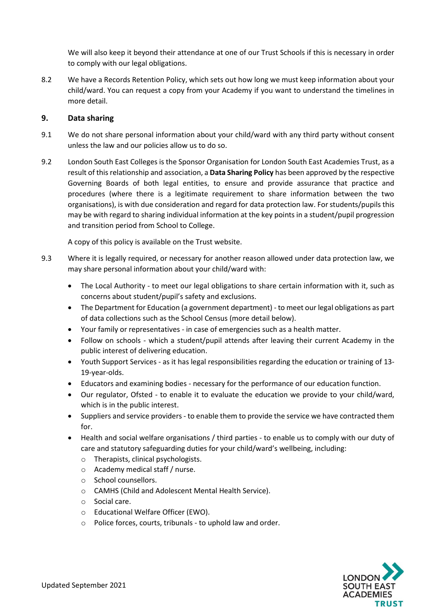We will also keep it beyond their attendance at one of our Trust Schools if this is necessary in order to comply with our legal obligations.

8.2 We have a Records Retention Policy, which sets out how long we must keep information about your child/ward. You can request a copy from your Academy if you want to understand the timelines in more detail.

## **9. Data sharing**

- 9.1 We do not share personal information about your child/ward with any third party without consent unless the law and our policies allow us to do so.
- 9.2 London South East Colleges is the Sponsor Organisation for London South East Academies Trust, as a result of this relationship and association, a **Data Sharing Policy** has been approved by the respective Governing Boards of both legal entities, to ensure and provide assurance that practice and procedures (where there is a legitimate requirement to share information between the two organisations), is with due consideration and regard for data protection law. For students/pupils this may be with regard to sharing individual information at the key points in a student/pupil progression and transition period from School to College.

A copy of this policy is available on the Trust website.

- 9.3 Where it is legally required, or necessary for another reason allowed under data protection law, we may share personal information about your child/ward with:
	- The Local Authority to meet our legal obligations to share certain information with it, such as concerns about student/pupil's safety and exclusions.
	- The Department for Education (a government department) to meet our legal obligations as part of data collections such as the School Census (more detail below).
	- Your family or representatives in case of emergencies such as a health matter.
	- Follow on schools which a student/pupil attends after leaving their current Academy in the public interest of delivering education.
	- Youth Support Services as it has legal responsibilities regarding the education or training of 13- 19-year-olds.
	- Educators and examining bodies necessary for the performance of our education function.
	- Our regulator, Ofsted to enable it to evaluate the education we provide to your child/ward, which is in the public interest.
	- Suppliers and service providers to enable them to provide the service we have contracted them for.
	- Health and social welfare organisations / third parties to enable us to comply with our duty of care and statutory safeguarding duties for your child/ward's wellbeing, including:
		- o Therapists, clinical psychologists.
		- o Academy medical staff / nurse.
		- o School counsellors.
		- o CAMHS (Child and Adolescent Mental Health Service).
		- o Social care.
		- o Educational Welfare Officer (EWO).
		- o Police forces, courts, tribunals to uphold law and order.

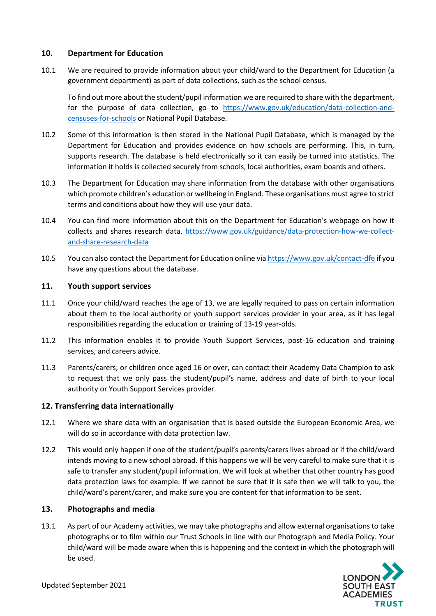## **10. Department for Education**

10.1 We are required to provide information about your child/ward to the Department for Education (a government department) as part of data collections, such as the school census.

To find out more about the student/pupil information we are required to share with the department, for the purpose of data collection, go to [https://www.gov.uk/education/data-collection-and](https://www.gov.uk/education/data-collection-and-censuses-for-schools)[censuses-for-schools](https://www.gov.uk/education/data-collection-and-censuses-for-schools) or National Pupil Database.

- 10.2 Some of this information is then stored in the National Pupil Database, which is managed by the Department for Education and provides evidence on how schools are performing. This, in turn, supports research. The database is held electronically so it can easily be turned into statistics. The information it holds is collected securely from schools, local authorities, exam boards and others.
- 10.3 The Department for Education may share information from the database with other organisations which promote children's education or wellbeing in England. These organisations must agree to strict terms and conditions about how they will use your data.
- 10.4 You can find more information about this on the Department for Education's webpage on how it collects and shares research data. [https://www.gov.uk/guidance/data-protection-how-we-collect](https://www.gov.uk/guidance/data-protection-how-we-collect-and-share-research-data)[and-share-research-data](https://www.gov.uk/guidance/data-protection-how-we-collect-and-share-research-data)
- 10.5 You can also contact the Department for Education online via <https://www.gov.uk/contact-dfe> if you have any questions about the database.

## **11. Youth support services**

- 11.1 Once your child/ward reaches the age of 13, we are legally required to pass on certain information about them to the local authority or youth support services provider in your area, as it has legal responsibilities regarding the education or training of 13-19 year-olds.
- 11.2 This information enables it to provide Youth Support Services, post-16 education and training services, and careers advice.
- 11.3 Parents/carers, or children once aged 16 or over, can contact their Academy Data Champion to ask to request that we only pass the student/pupil's name, address and date of birth to your local authority or Youth Support Services provider.

# **12. Transferring data internationally**

- 12.1 Where we share data with an organisation that is based outside the European Economic Area, we will do so in accordance with data protection law.
- 12.2 This would only happen if one of the student/pupil's parents/carers lives abroad or if the child/ward intends moving to a new school abroad. If this happens we will be very careful to make sure that it is safe to transfer any student/pupil information. We will look at whether that other country has good data protection laws for example. If we cannot be sure that it is safe then we will talk to you, the child/ward's parent/carer, and make sure you are content for that information to be sent.

### **13. Photographs and media**

13.1 As part of our Academy activities, we may take photographs and allow external organisations to take photographs or to film within our Trust Schools in line with our Photograph and Media Policy. Your child/ward will be made aware when this is happening and the context in which the photograph will be used.

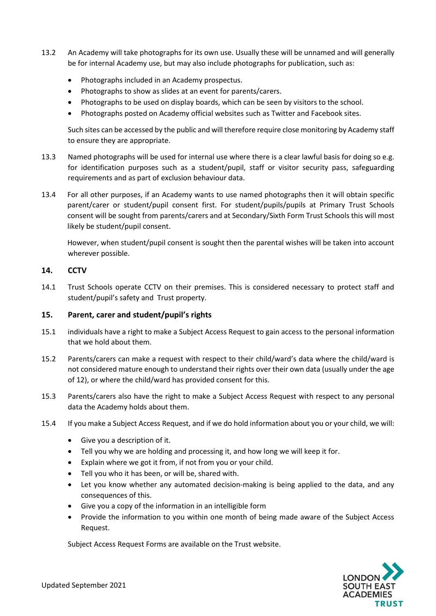- 13.2 An Academy will take photographs for its own use. Usually these will be unnamed and will generally be for internal Academy use, but may also include photographs for publication, such as:
	- Photographs included in an Academy prospectus.
	- Photographs to show as slides at an event for parents/carers.
	- Photographs to be used on display boards, which can be seen by visitors to the school.
	- Photographs posted on Academy official websites such as Twitter and Facebook sites.

Such sites can be accessed by the public and will therefore require close monitoring by Academy staff to ensure they are appropriate.

- 13.3 Named photographs will be used for internal use where there is a clear lawful basis for doing so e.g. for identification purposes such as a student/pupil, staff or visitor security pass, safeguarding requirements and as part of exclusion behaviour data.
- 13.4 For all other purposes, if an Academy wants to use named photographs then it will obtain specific parent/carer or student/pupil consent first. For student/pupils/pupils at Primary Trust Schools consent will be sought from parents/carers and at Secondary/Sixth Form Trust Schools this will most likely be student/pupil consent.

However, when student/pupil consent is sought then the parental wishes will be taken into account wherever possible.

# **14. CCTV**

14.1 Trust Schools operate CCTV on their premises. This is considered necessary to protect staff and student/pupil's safety and Trust property.

# **15. Parent, carer and student/pupil's rights**

- 15.1 individuals have a right to make a Subject Access Request to gain access to the personal information that we hold about them.
- 15.2 Parents/carers can make a request with respect to their child/ward's data where the child/ward is not considered mature enough to understand their rights over their own data (usually under the age of 12), or where the child/ward has provided consent for this.
- 15.3 Parents/carers also have the right to make a Subject Access Request with respect to any personal data the Academy holds about them.
- 15.4 If you make a Subject Access Request, and if we do hold information about you or your child, we will:
	- Give you a description of it.
	- Tell you why we are holding and processing it, and how long we will keep it for.
	- Explain where we got it from, if not from you or your child.
	- Tell you who it has been, or will be, shared with.
	- Let you know whether any automated decision-making is being applied to the data, and any consequences of this.
	- Give you a copy of the information in an intelligible form
	- Provide the information to you within one month of being made aware of the Subject Access Request.

Subject Access Request Forms are available on the Trust website.